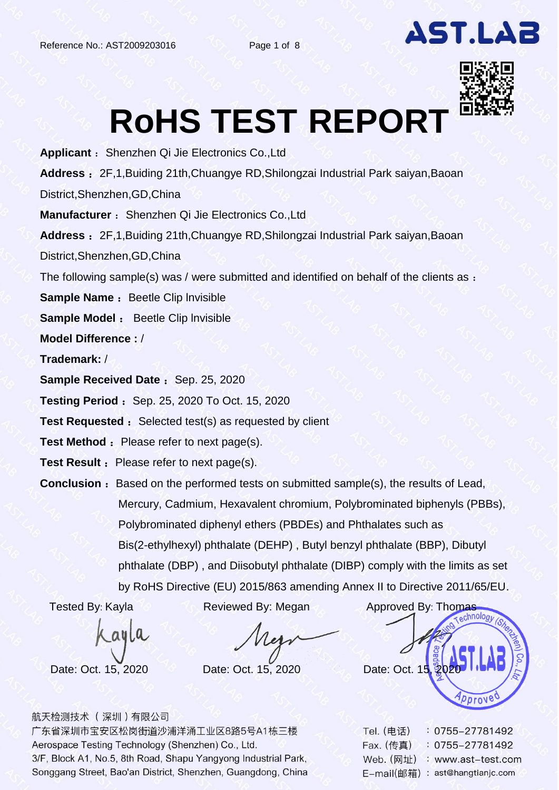

# **RoHS TEST REPORT**

**Applicant** :Shenzhen Qi Jie Electronics Co.,Ltd **Address** :2F,1,Buiding 21th,Chuangye RD,Shilongzai Industrial Park saiyan,Baoan District,Shenzhen,GD,China **Manufacturer** : Shenzhen Qi Jie Electronics Co., Ltd **Address** :2F,1,Buiding 21th,Chuangye RD,Shilongzai Industrial Park saiyan,Baoan District,Shenzhen,GD,China The following sample(s) was / were submitted and identified on behalf of the clients as : **Sample Name : Beetle Clip Invisible Sample Model** : Beetle Clip lnvisible **Model Difference :** / **Trademark:** / **Sample Received Date : Sep. 25, 2020 Testing Period : Sep. 25, 2020 To Oct. 15, 2020 Test Requested :** Selected test(s) as requested by client **Test Method :** Please refer to next page(s).

**Test Result :** Please refer to next page(s).

**Conclusion** : Based on the performed tests on submitted sample(s), the results of Lead, Mercury, Cadmium, Hexavalent chromium, Polybrominated biphenyls (PBBs), Polybrominated diphenyl ethers (PBDEs) and Phthalates such as Bis(2-ethylhexyl) phthalate (DEHP) , Butyl benzyl phthalate (BBP), Dibutyl phthalate (DBP) , and Diisobutyl phthalate (DIBP) comply with the limits as set by RoHS Directive (EU) 2015/863 amending Annex II to Directive 2011/65/EU.

Cayla

Tested By: Kayla Reviewed By: Megan Approved By: Thomas Date: Oct. 15, 2020 Date: Oct. 15, 2020 Date: Oct. 15, 2020 pprove

| 航天检测技术( 深圳 ) 有限公司 |  |  |  |
|-------------------|--|--|--|
|                   |  |  |  |

| Tel. (电话)  | 0755-27781492        |
|------------|----------------------|
| Fax. (传真)  | $: 0755 - 27781492$  |
| Web. (网址)  | : www.ast-test.com   |
| E-mail(邮箱) | : ast@hangtianjc.com |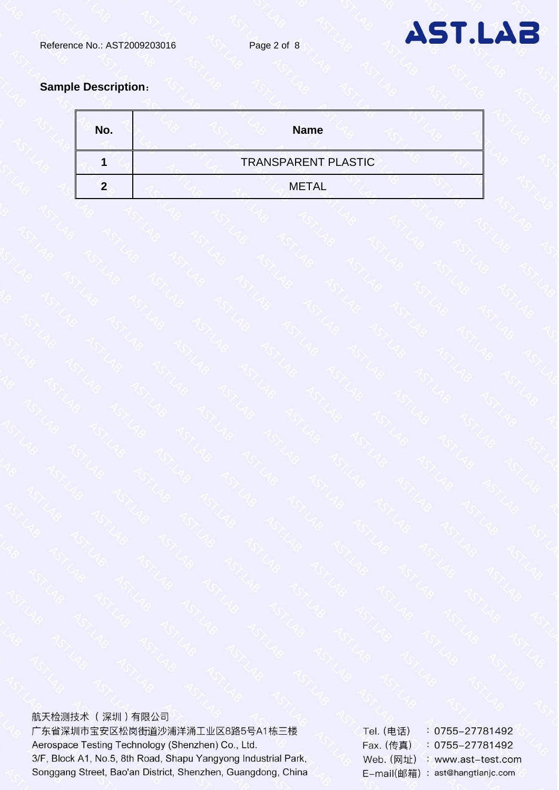

### **Sample Description**:

| No. | <b>Name</b>                |  |
|-----|----------------------------|--|
|     | <b>TRANSPARENT PLASTIC</b> |  |
|     | <b>METAL</b>               |  |

航天检测技术 (深圳)有限公司 广东省深圳市宝安区松岗街道沙浦洋涌工业区8路5号A1栋三楼 Aerospace Testing Technology (Shenzhen) Co., Ltd. 3/F, Block A1, No.5, 8th Road, Shapu Yangyong Industrial Park, Songgang Street, Bao'an District, Shenzhen, Guangdong, China

: 0755-27781492 **Tel.** (电话) Fax. (传真) : 0755-27781492 Web. (网址) : www.ast-test.com E-mail(邮箱): ast@hangtianjc.com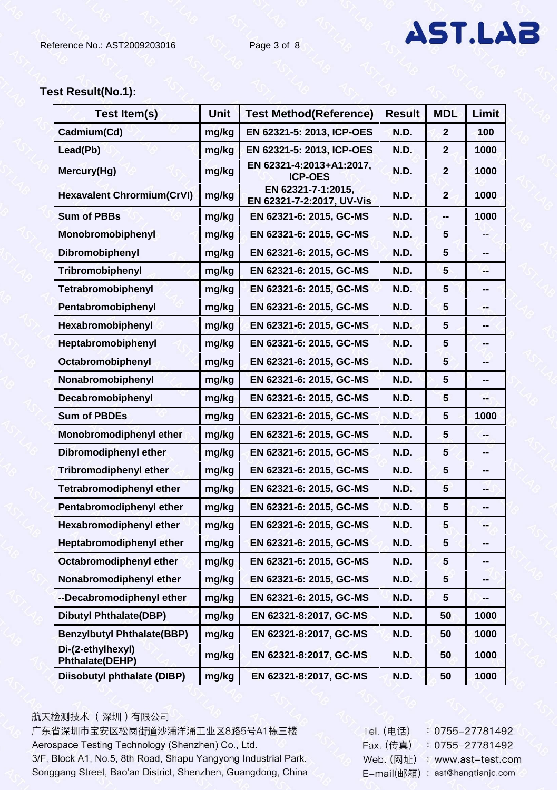# **Test Result(No.1):**

| <b>Test Item(s)</b>                         | <b>Unit</b> | <b>Test Method(Reference)</b>                   | <b>Result</b> | <b>MDL</b>     | <b>Limit</b> |
|---------------------------------------------|-------------|-------------------------------------------------|---------------|----------------|--------------|
| Cadmium(Cd)                                 | mg/kg       | EN 62321-5: 2013, ICP-OES                       | <b>N.D.</b>   | $\overline{2}$ | 100          |
| Lead(Pb)                                    | mg/kg       | EN 62321-5: 2013, ICP-OES                       | N.D.          | $\overline{2}$ | 1000         |
| Mercury(Hg)                                 | mg/kg       | EN 62321-4:2013+A1:2017,<br><b>ICP-OES</b>      | <b>N.D.</b>   | $\overline{2}$ | 1000         |
| <b>Hexavalent Chrormium(CrVI)</b>           | mg/kg       | EN 62321-7-1:2015,<br>EN 62321-7-2:2017, UV-Vis | N.D.          | $\overline{2}$ | 1000         |
| <b>Sum of PBBs</b>                          | mg/kg       | EN 62321-6: 2015, GC-MS                         | <b>N.D.</b>   | --             | 1000         |
| Monobromobiphenyl                           | mg/kg       | EN 62321-6: 2015, GC-MS                         | <b>N.D.</b>   | $5\phantom{1}$ | --           |
| Dibromobiphenyl                             | mg/kg       | EN 62321-6: 2015, GC-MS                         | <b>N.D.</b>   | 5              | --           |
| Tribromobiphenyl                            | mg/kg       | EN 62321-6: 2015, GC-MS                         | <b>N.D.</b>   | 5              | --           |
| Tetrabromobiphenyl                          | mg/kg       | EN 62321-6: 2015, GC-MS                         | <b>N.D.</b>   | 5              | --           |
| Pentabromobiphenyl                          | mg/kg       | EN 62321-6: 2015, GC-MS                         | <b>N.D.</b>   | 5              | --           |
| Hexabromobiphenyl                           | mg/kg       | EN 62321-6: 2015, GC-MS                         | <b>N.D.</b>   | $5\phantom{1}$ | --           |
| Heptabromobiphenyl                          | mg/kg       | EN 62321-6: 2015, GC-MS                         | N.D.          | $5\phantom{1}$ | --           |
| Octabromobiphenyl                           | mg/kg       | EN 62321-6: 2015, GC-MS                         | <b>N.D.</b>   | 5              | --           |
| Nonabromobiphenyl                           | mg/kg       | EN 62321-6: 2015, GC-MS                         | <b>N.D.</b>   | $5\phantom{1}$ | --           |
| Decabromobiphenyl                           | mg/kg       | EN 62321-6: 2015, GC-MS                         | <b>N.D.</b>   | 5              | --           |
| <b>Sum of PBDEs</b>                         | mg/kg       | EN 62321-6: 2015, GC-MS                         | <b>N.D.</b>   | $5\phantom{1}$ | 1000         |
| Monobromodiphenyl ether                     | mg/kg       | EN 62321-6: 2015, GC-MS                         | <b>N.D.</b>   | 5              | --           |
| <b>Dibromodiphenyl ether</b>                | mg/kg       | EN 62321-6: 2015, GC-MS                         | <b>N.D.</b>   | 5              | --           |
| <b>Tribromodiphenyl ether</b>               | mg/kg       | EN 62321-6: 2015, GC-MS                         | <b>N.D.</b>   | 5              | --           |
| <b>Tetrabromodiphenyl ether</b>             | mg/kg       | EN 62321-6: 2015, GC-MS                         | <b>N.D.</b>   | $5\phantom{1}$ | --           |
| Pentabromodiphenyl ether                    | mg/kg       | EN 62321-6: 2015, GC-MS                         | N.D.          | 5              | -−           |
| <b>Hexabromodiphenyl ether</b>              | mg/kg       | EN 62321-6: 2015, GC-MS                         | N.D.          | $5\phantom{1}$ |              |
| Heptabromodiphenyl ether                    | mg/kg       | EN 62321-6: 2015, GC-MS                         | N.D.          | $5\phantom{1}$ | --           |
| Octabromodiphenyl ether                     | mg/kg       | EN 62321-6: 2015, GC-MS                         | N.D.          | 5              | -−           |
| Nonabromodiphenyl ether                     | mg/kg       | EN 62321-6: 2015, GC-MS                         | <b>N.D.</b>   | 5              | --           |
| --Decabromodiphenyl ether                   | mg/kg       | EN 62321-6: 2015, GC-MS                         | N.D.          | 5              | ⊷            |
| <b>Dibutyl Phthalate(DBP)</b>               | mg/kg       | EN 62321-8:2017, GC-MS                          | <b>N.D.</b>   | 50             | 1000         |
| <b>Benzylbutyl Phthalate(BBP)</b>           | mg/kg       | EN 62321-8:2017, GC-MS                          | N.D.          | 50             | 1000         |
| Di-(2-ethylhexyl)<br><b>Phthalate(DEHP)</b> | mg/kg       | EN 62321-8:2017, GC-MS                          | <b>N.D.</b>   | 50             | 1000         |
| <b>Diisobutyl phthalate (DIBP)</b>          | mg/kg       | EN 62321-8:2017, GC-MS                          | N.D.          | 50             | 1000         |

#### 航天检测技术 (深圳)有限公司

| Tel. (电话)  | $: 0755 - 27781492$  |
|------------|----------------------|
| Fax. (传真)  | 0755-27781492        |
| Web. (网址)  | : www.ast-test.com   |
| E-mail(邮箱) | : ast@hangtianjc.com |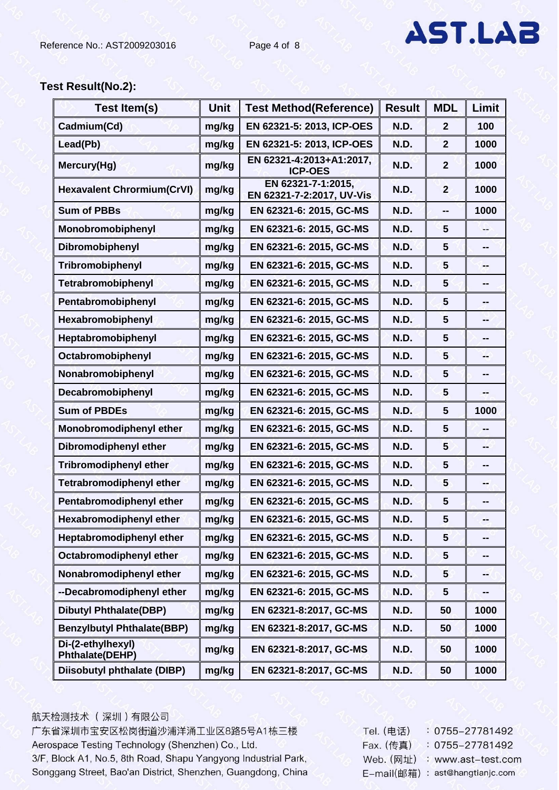### **Test Result(No.2):**

| <b>Test Item(s)</b>                         | <b>Unit</b> | <b>Test Method (Reference)</b>                  | <b>Result</b> | <b>MDL</b>      | Limit                    |
|---------------------------------------------|-------------|-------------------------------------------------|---------------|-----------------|--------------------------|
| Cadmium(Cd)                                 | mg/kg       | EN 62321-5: 2013, ICP-OES                       | N.D.          | $\mathbf{2}$    | 100                      |
| Lead(Pb)                                    | mg/kg       | EN 62321-5: 2013, ICP-OES                       | <b>N.D.</b>   | $\overline{2}$  | 1000                     |
| Mercury(Hg)                                 | mg/kg       | EN 62321-4:2013+A1:2017,<br><b>ICP-OES</b>      | N.D.          | $\mathbf{2}$    | 1000                     |
| <b>Hexavalent Chrormium(CrVI)</b>           | mg/kg       | EN 62321-7-1:2015,<br>EN 62321-7-2:2017, UV-Vis | N.D.          | $\overline{2}$  | 1000                     |
| <b>Sum of PBBs</b>                          | mg/kg       | EN 62321-6: 2015, GC-MS                         | N.D.          |                 | 1000                     |
| Monobromobiphenyl                           | mg/kg       | EN 62321-6: 2015, GC-MS                         | N.D.          | 5               | --                       |
| Dibromobiphenyl                             | mg/kg       | EN 62321-6: 2015, GC-MS                         | N.D.          | 5               | --                       |
| Tribromobiphenyl                            | mg/kg       | EN 62321-6: 2015, GC-MS                         | N.D.          | 5               | --                       |
| Tetrabromobiphenyl                          | mg/kg       | EN 62321-6: 2015, GC-MS                         | N.D.          | 5               | --                       |
| Pentabromobiphenyl                          | mg/kg       | EN 62321-6: 2015, GC-MS                         | N.D.          | $5\phantom{1}$  | ⊷                        |
| Hexabromobiphenyl                           | mg/kg       | EN 62321-6: 2015, GC-MS                         | N.D.          | 5               | --                       |
| Heptabromobiphenyl                          | mg/kg       | EN 62321-6: 2015, GC-MS                         | N.D.          | 5               | --                       |
| Octabromobiphenyl                           | mg/kg       | EN 62321-6: 2015, GC-MS                         | <b>N.D.</b>   | 5               | --                       |
| Nonabromobiphenyl                           | mg/kg       | EN 62321-6: 2015, GC-MS                         | N.D.          | $5\phantom{.0}$ | ⊷                        |
| Decabromobiphenyl                           | mg/kg       | EN 62321-6: 2015, GC-MS                         | N.D.          | 5               | ⊷                        |
| <b>Sum of PBDEs</b>                         | mg/kg       | EN 62321-6: 2015, GC-MS                         | <b>N.D.</b>   | 5               | 1000                     |
| Monobromodiphenyl ether                     | mg/kg       | EN 62321-6: 2015, GC-MS                         | N.D.          | 5               | --                       |
| Dibromodiphenyl ether                       | mg/kg       | EN 62321-6: 2015, GC-MS                         | <b>N.D.</b>   | 5               | --                       |
| <b>Tribromodiphenyl ether</b>               | mg/kg       | EN 62321-6: 2015, GC-MS                         | N.D.          | $5\phantom{1}$  | ⊷                        |
| <b>Tetrabromodiphenyl ether</b>             | mg/kg       | EN 62321-6: 2015, GC-MS                         | <b>N.D.</b>   | 5               | --                       |
| Pentabromodiphenyl ether                    | mg/kg       | EN 62321-6: 2015, GC-MS                         | N.D.          | 5               | --                       |
| <b>Hexabromodiphenyl ether</b>              | mg/kg       | EN 62321-6: 2015, GC-MS                         | N.D.          | 5               |                          |
| Heptabromodiphenyl ether                    | mg/kg       | EN 62321-6: 2015, GC-MS                         | N.D.          | $5\phantom{.0}$ | ⊷                        |
| Octabromodiphenyl ether                     | mg/kg       | EN 62321-6: 2015, GC-MS                         | N.D.          | 5               | $\overline{\phantom{a}}$ |
| Nonabromodiphenyl ether                     | mg/kg       | EN 62321-6: 2015, GC-MS                         | <b>N.D.</b>   | $5\phantom{1}$  | --                       |
| --Decabromodiphenyl ether                   | mg/kg       | EN 62321-6: 2015, GC-MS                         | N.D.          | 5               | --                       |
| <b>Dibutyl Phthalate(DBP)</b>               | mg/kg       | EN 62321-8:2017, GC-MS                          | <b>N.D.</b>   | 50              | 1000                     |
| <b>Benzylbutyl Phthalate(BBP)</b>           | mg/kg       | EN 62321-8:2017, GC-MS                          | N.D.          | 50              | 1000                     |
| Di-(2-ethylhexyl)<br><b>Phthalate(DEHP)</b> | mg/kg       | EN 62321-8:2017, GC-MS                          | N.D.          | 50              | 1000                     |
| <b>Diisobutyl phthalate (DIBP)</b>          | mg/kg       | EN 62321-8:2017, GC-MS                          | N.D.          | 50              | 1000                     |

### 航天检测技术 (深圳)有限公司

| Tel. (电话)  | $: 0755 - 27781492$  |
|------------|----------------------|
| Fax. (传真)  | 0755-27781492        |
| Web. (网址)  | : www.ast-test.com   |
| E-mail(邮箱) | : ast@hangtianjc.com |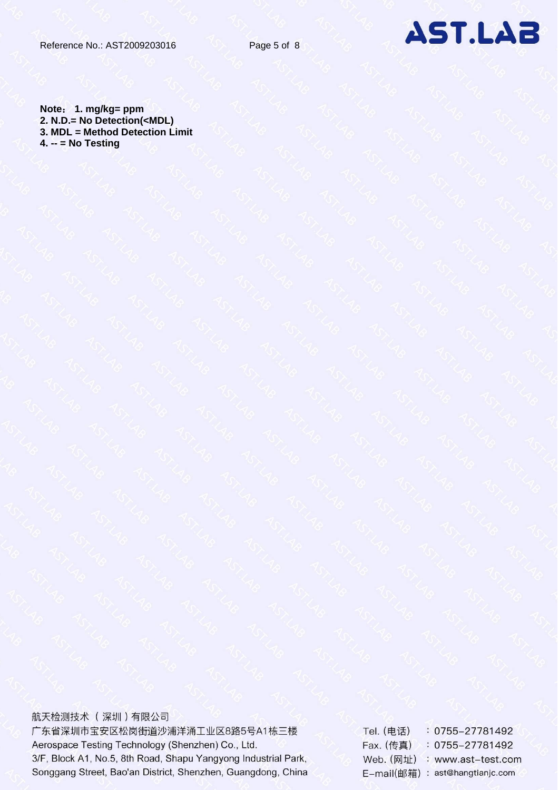

**Note**: **1. mg/kg= ppm 2. N.D.= No Detection(<MDL) 3. MDL = Method Detection Limit 4. -- = No Testing**

航天检测技术 (深圳)有限公司 广东省深圳市宝安区松岗街道沙浦洋涌工业区8路5号A1栋三楼 Aerospace Testing Technology (Shenzhen) Co., Ltd. 3/F, Block A1, No.5, 8th Road, Shapu Yangyong Industrial Park, Songgang Street, Bao'an District, Shenzhen, Guangdong, China

Tel. (电话) : 0755-27781492 Fax. (传真) : 0755-27781492 Web. (网址) : www.ast-test.com E-mail(邮箱): ast@hangtianjc.com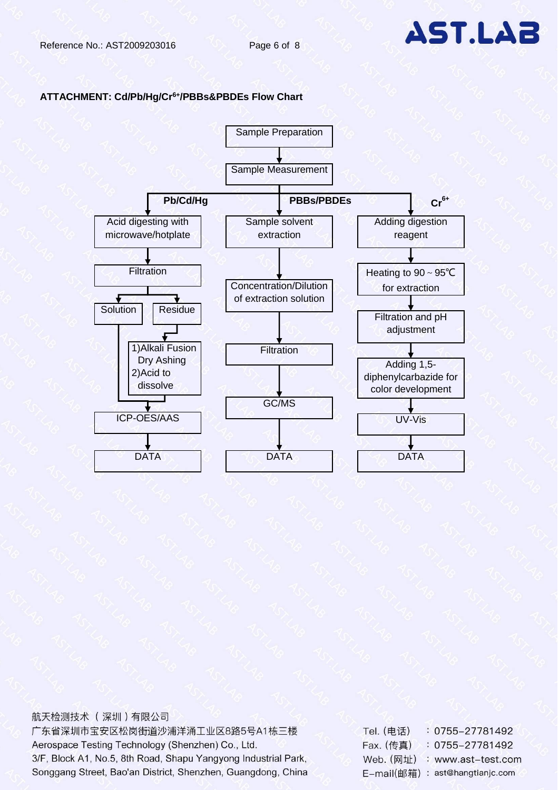

#### **ATTACHMENT: Cd/Pb/Hg/Cr6+/PBBs&PBDEs Flow Chart**



### 航天检测技术 (深圳)有限公司

| Tel. (电话)  | : 0755–27781492      |
|------------|----------------------|
| Fax. (传真)  | $: 0755 - 27781492$  |
| Web. (网址)  | : www.ast-test.com   |
| E-mail(邮箱) | : ast@hangtianjc.com |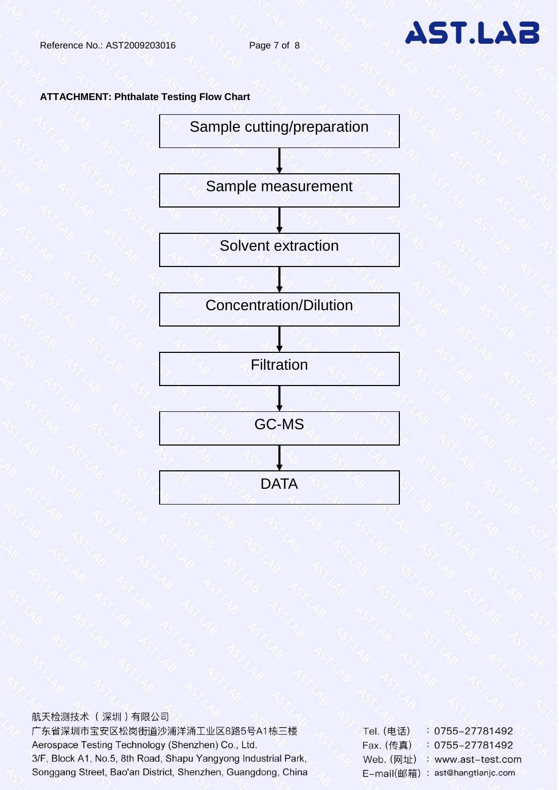#### **ATTACHMENT: Phthalate Testing Flow Chart**



航天检测技术 (深圳)有限公司 广东省深圳市宝安区松岗街道沙浦洋涌工业区8路5号A1栋三楼 Tel. (电话) : 0755-27781492 Aerospace Testing Technology (Shenzhen) Co., Ltd. Fax. (传真)  $: 0755 - 27781492$ 3/F, Block A1, No.5, 8th Road, Shapu Yangyong Industrial Park, Web. (网址) : www.ast-test.com Songgang Street, Bao'an District, Shenzhen, Guangdong, China E-mail(邮箱): ast@hangtianjc.com